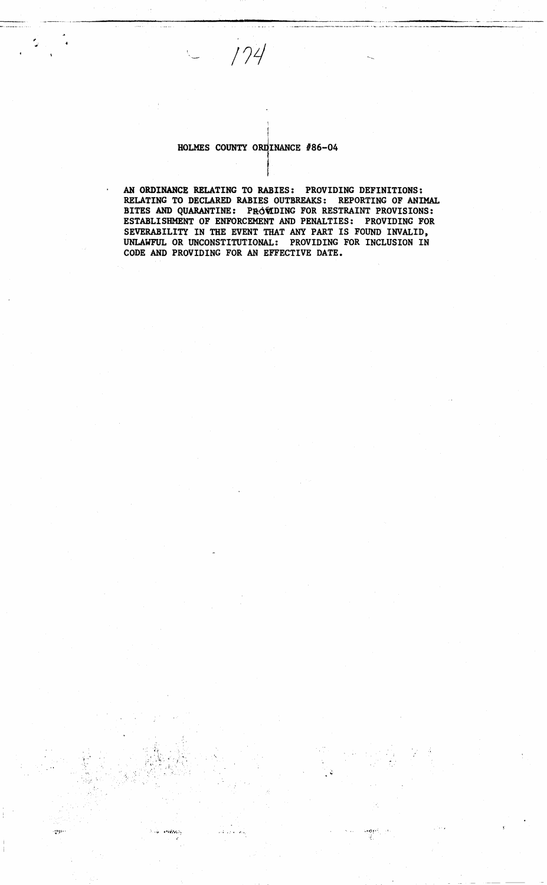# HOLMES COUNTY ORDINANCE #86-04

ayya.

 $174$ 

AN ORDINANCE RELATING TO RABIES: PROVIDING DEFINITIONS:<br>RELATING TO DECLARED RABIES OUTBREAKS: REPORTING OF ANIMAL BITES AND QUARANTINE: PROVIDING FOR RESTRAINT PROVISIONS: ESTABLISHMENT OF ENFORCEMENT AND PENALTIES: PROVIDING FOR SEVERABILITY IN THE EVENT THAT ANY PART IS FOUND INVALID, UNLAWFUL OR UNCONSTITUTIONAL: PROVIDING FOR INCLUSION IN CODE AND PROVIDING FOR AN EFFECTIVE DATE.

يتنوهن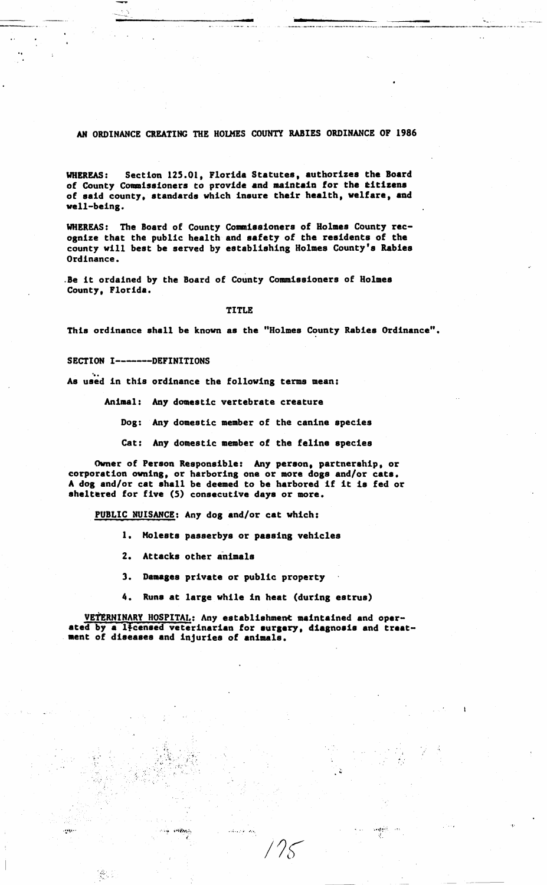### AN ORDINANCE CREATING THE HOLMES COUNTY RABIES ORDINANCE OF 1986

Section 125.01, Florida Statutes, authorizes the Board **UHEREAS:** of County Commissioners to provide and maintain for the titizens of said county, standards which insure their health, welfare, and well-being.

WHEREAS: The Board of County Commissioners of Holmes County recognize that the public health and safety of the residents of the county will best be served by establishing Holmes County's Rabies Ordinance.

.Be it ordained by the Board of County Commissioners of Holmes County, Florida.

#### TITLE

This ordinance shall be known as the "Holmes County Rabies Ordinance".

### SECTION I-------DEFINITIONS

 $\sim 0.5$  .

 $\mathcal{L}^{(1)}$ 

As used in this ordinance the following terms mean:

Animal: Any domestic vertebrate creature

Dog: Any domestic member of the canine species

Cat: Any domestic member of the feline species

Owner of Person Responsible: Any person, partnership, or corporation owning, or harboring one or more dogs and/or cats. A dog and/or cat shall be deemed to be harbored if it is fed or sheltered for five (5) consecutive days or more.

PUBLIC NUISANCE: Any dog and/or cat which:

- 1. Molests passerbys or passing vehicles
- 2. Attacks other animals
- 3. Damages private or public property
- 4. Runs at large while in heat (during estrus)

VETERNINARY HOSPITAL: Any establishment maintained and operated by a licensed veterinarian for surgery, diagnosis and treat-<br>ment of diseases and injuries of animals.

أنكف الاستنقاذ

 $\alpha$  and  $\beta$  , and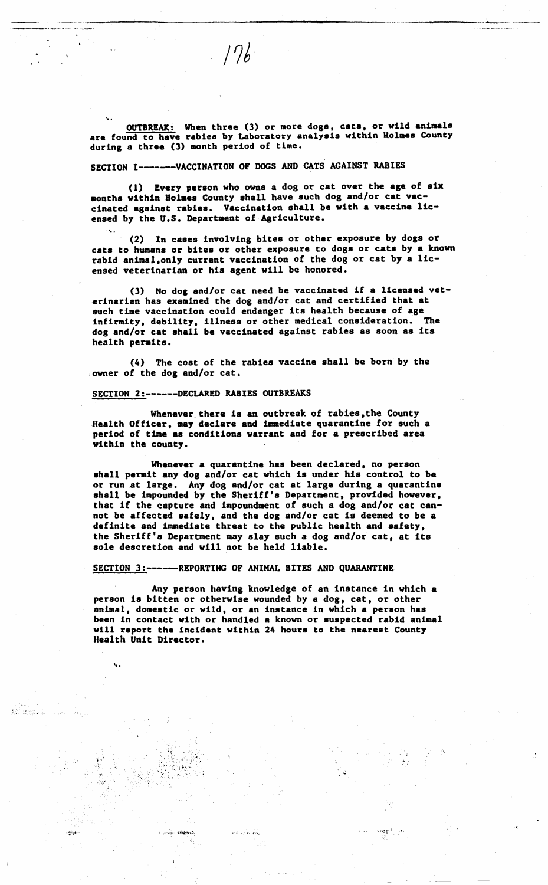OUTBREAK: When three (3) or more dogs, cats, or wild animals<br>are found to have rabies by Laboratory analysis within Holmes County during a three (3) month period of time.

SECTION I-------VACCINATION OF DOGS AND CATS AGAINST RABIES

(1) Every person who owns a dog or cat over the age of six months within Holmes County shall have such dog and/or cat vaccinated against rabies. Vaccination shall be with a vaccine licensed by the U.S. Department of Agriculture.

(2) In cases involving bites or other exposure by dogs or cats to humans or bites or other exposure to dogs or cats by a known rabid animal, only current vaccination of the dog or cat by a licensed veterinarian or his agent will be honored.

(3) No dog and/or cat need be vaccinated if a licensed veterinarian has examined the dog and/or cat and certified that at such time vaccination could endanger its health because of age infirmity, debility, illness or other medical consideration. The dog and/or cat shall be vaccinated against rabies as soon as its health permits.

(4) The cost of the rabies vaccine shall be born by the owner of the dog and/or cat.

# SECTION 2:------DECLARED RABIES OUTBREAKS

٠.

and intern

 $\mathcal{R}^{(3)}$  if space

**Adam** 

Whenever there is an outbreak of rabies, the County<br>Health Officer, may declare and immediate quarantine for such a period of time as conditions warrant and for a prescribed area within the county.

Whenever a quarantine has been declared, no person shall permit any dog and/or cat which is under his control to be or run at large. Any dog and/or cat at large during a quarantine shall be impounded by the Sheriff's Department, provided however, that if the capture and impoundment of such a dog and/or cat cannot be affected safely, and the dog and/or cat is deemed to be a definite and immediate threat to the public health and safety, the Sheriff's Department may slay such a dog and/or cat, at its sole descretion and will not be held liable.

SECTION 3:------REPORTING OF ANIMAL BITES AND QUARANTINE

المتوارث والمستقلة

Any person having knowledge of an instance in which a person is bitten or otherwise wounded by a dog, cat, or other animal, domestic or wild, or an instance in which a person has been in contact with or handled a known or suspected rabid animal will report the incident within 24 hours to the nearest County Health Unit Director.

بعداد وتحقق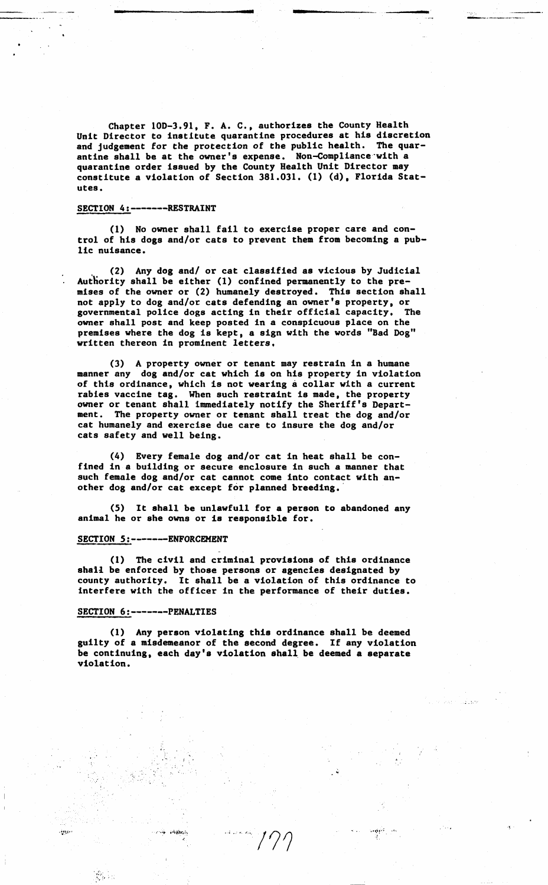Chapter lOD-3,91, F. A. C., authorizes the County Health Unit Director to institute quarantine procedures at his discretion and judgement for the protection of the public health. The quarantine shall be at the owner's expense. Non-Compliance·with a quarantine order issued by the County Health Unit Director may constitute a violation of Section 381.031. (1) (d), Florida Statutes.

#### SECTION 4:-------RESTRAINT

(1) No owner shall fail to exercise proper care and control of his dogs and/or cats to prevent them from becoming a public nuisance.

(2) Any dog and/ or cat classified as vicious by Judicial Authority shall be either (1) confined permanently to the premises of the owner or (2) humanely destroyed. This section shall not apply to dog and/or cats defending an owner's property, or governmental police dogs acting in their official capacity, The owner shall post and keep posted in a conspicuous place on the premises where the dog is kept, a sign with the words "Bad Dog" written thereon in prominent letters,

(3) A property owner or tenant may restrain in a humane manner any dog and/or cat which is on his property in violation of this ordinance, which is not wearing a collar with a current rabies vaccine **tag.** When such restraint is made, the property owner or tenant shall immediately notify the Sheriff's Department. The property owner or **tenant** shall treat the dog and/or cat humanely and exercise due care to insure the dog and/or cats safety and well being.

(4) Every female dog and/or cat in heat shall be confined in a building or secure enclosure in such a manner that such female dog and/or cat cannot come into contact with another dog and/or cat except for planned breeding.

(5) It shall be unlawful! for a person to abandoned any animal he or she owns or is responsible for.

### SECTION 5:-------ENFORCEMENT

(1) The civil and criminal provisions of this ordinance sha11 be enforced by those persons or agencies designated by county authority. It shall **be a** violation of this ordinance to interfere with the officer in the performance of their duties.

### SECTION 6:-------PENALTIES

**inte** 

(1) Any person violating this ordinance shall be deemed guilty of a misdemeanor of the second degree. If any violation be continuing, each day's violation shall be deemed a separate violation.

> .,,;,,!•·•. *,,\ -r*